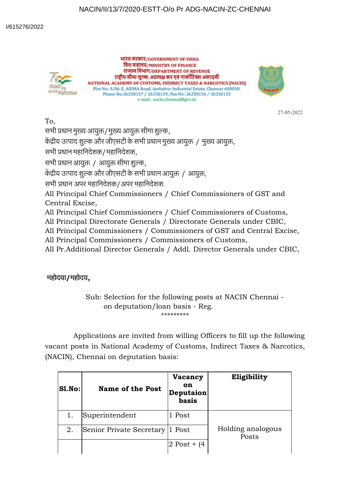## NACIN/II/13/7/2020-ESTT-O/o Pr ADG-NACIN-ZC-CHENNAI



भारत सरकार/GOVERNMENT OF INDIA वित्त मत्रांलय/MINISTRY OF FINANCE राजस्व विभाग/DEPARTMENT OF REVENUE राष्ट्रीय सीमा शुल्क, अप्रत्यक्ष कर एवं नार्कोटिक्स अकादमी NATIONAL ACADEMY OF CUSTOMS, INDIRECT TAXES & NARCOTICS [NACIN] Plot No: 3/86-E, AIEMA Road, Ambattur Industrial Estate, Chennai-600058. Phone No:26250157 / 26250159; Fax No: 26250156 / 26250155 e-mail: nacin.chennai@gov.in



27-05-2022

To,

सभी प्रधान मुख्य आयुक्त/मुख्य आयुक्त सीमा शुल्क,

केंद्रीय उत्पाद शुल्क और जीएसटी के सभी प्रधान मुख्य आयुक्त / मुख्य आयुक्त,

सभी धान महािनदेशक/महािनदेशक,

सभी प्रधान आयुक्त / आयुक्त सीमा शुल्क,

केंद्रीय उत्पाद शुल्क और जीएसटी के सभी प्रधान आयुक्त / आयुक्त,

सभी धान अपर महािनदेशक/अपर महािनदेशक.

All Principal Chief Commissioners / Chief Commissioners of GST and Central Excise,

All Principal Chief Commissioners / Chief Commissioners of Customs,

All Principal Directorate Generals / Directorate Generals under CBIC,

All Principal Commissioners / Commissioners of GST and Central Excise,

All Principal Commissioners / Commissioners of Customs,

All Pr.Additional Director Generals / Addl. Director Generals under CBIC,

## महोदया**/**महोदय**,**

Sub: Selection for the following posts at NACIN Chennai on deputation/loan basis - Reg. \*\*\*\*\*\*\*\*\*

Applications are invited from willing Officers to fill up the following vacant posts in National Academy of Customs, Indirect Taxes & Narcotics, (NACIN), Chennai on deputation basis:

| <b>Sl.No:</b> | <b>Name of the Post</b>  | Vacancy<br>on<br>Deputaion<br>basis | Eligibility                |
|---------------|--------------------------|-------------------------------------|----------------------------|
|               | Superintendent           | 1 Post                              |                            |
| 2.            | Senior Private Secretary | 1 Post                              | Holding analogous<br>Posts |
|               |                          | $2$ Post + $(4)$                    |                            |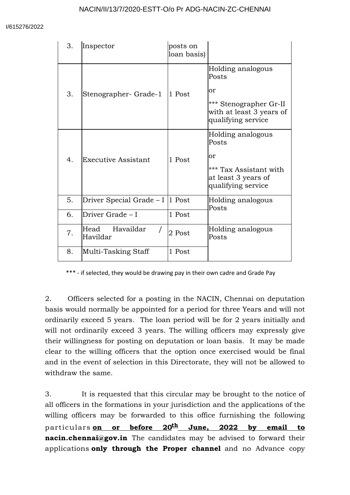| 3. | Inspector                         | posts on<br>loan basis) |                                                                                                              |
|----|-----------------------------------|-------------------------|--------------------------------------------------------------------------------------------------------------|
| 3. | Stenographer- Grade-1             | 1 Post                  | Holding analogous<br>Posts<br>or<br>*** Stenographer Gr-II<br>with at least 3 years of<br>qualifying service |
| 4. | <b>Executive Assistant</b>        | 1 Post                  | Holding analogous<br>Posts<br>or<br>*** Tax Assistant with<br>at least 3 years of<br>qualifying service      |
| 5. | Driver Special Grade $-1$  1 Post |                         | Holding analogous<br>Posts                                                                                   |
| 6. | Driver Grade - I                  | 1 Post                  |                                                                                                              |
| 7. | Head<br>Havaildar<br>Havildar     | 2 Post                  | Holding analogous<br>Posts                                                                                   |
| 8. | Multi-Tasking Staff               | 1 Post                  |                                                                                                              |

\*\*\* - if selected, they would be drawing pay in their own cadre and Grade Pay

2. Officers selected for a posting in the NACIN, Chennai on deputation basis would normally be appointed for a period for three Years and will not ordinarily exceed 5 years. The loan period will be for 2 years initially and will not ordinarily exceed 3 years. The willing officers may expressly give their willingness for posting on deputation or loan basis. It may be made clear to the willing officers that the option once exercised would be final and in the event of selection in this Directorate, they will not be allowed to withdraw the same.

3. It is requested that this circular may be brought to the notice of all officers in the formations in your jurisdiction and the applications of the willing officers may be forwarded to this office furnishing the following par ticulars **on or before 20 th June, 2022 by email to nacin.chennai@gov.in** The candidates may be advised to forward their applications **only through the Proper channel** and no Advance copy